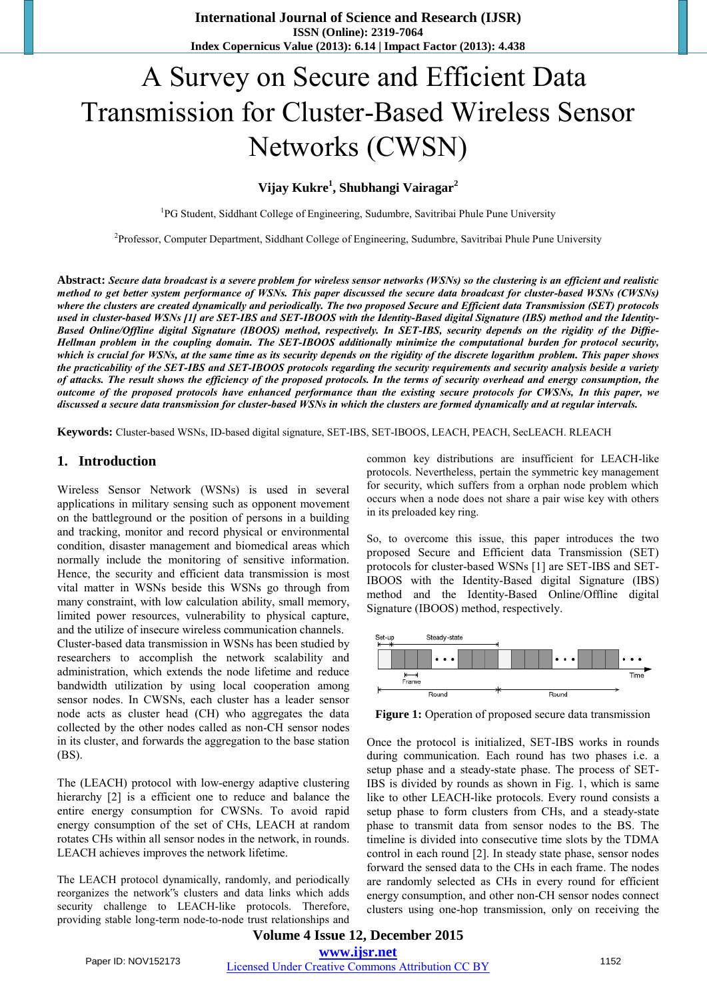**International Journal of Science and Research (IJSR) ISSN (Online): 2319-7064 Index Copernicus Value (2013): 6.14 | Impact Factor (2013): 4.438** 

# A Survey on Secure and Efficient Data Transmission for Cluster-Based Wireless Sensor Networks (CWSN)

### **Vijay Kukre<sup>1</sup> , Shubhangi Vairagar<sup>2</sup>**

<sup>1</sup>PG Student, Siddhant College of Engineering, Sudumbre, Savitribai Phule Pune University

<sup>2</sup>Professor, Computer Department, Siddhant College of Engineering, Sudumbre, Savitribai Phule Pune University

**Abstract:** *Secure data broadcast is a severe problem for wireless sensor networks (WSNs) so the clustering is an efficient and realistic method to get better system performance of WSNs. This paper discussed the secure data broadcast for cluster-based WSNs (CWSNs) where the clusters are created dynamically and periodically. The two proposed Secure and Efficient data Transmission (SET) protocols used in cluster-based WSNs [1] are SET-IBS and SET-IBOOS with the Identity-Based digital Signature (IBS) method and the Identity-Based Online/Offline digital Signature (IBOOS) method, respectively. In SET-IBS, security depends on the rigidity of the Diffie-Hellman problem in the coupling domain. The SET-IBOOS additionally minimize the computational burden for protocol security, which is crucial for WSNs, at the same time as its security depends on the rigidity of the discrete logarithm problem. This paper shows the practicability of the SET-IBS and SET-IBOOS protocols regarding the security requirements and security analysis beside a variety of attacks. The result shows the efficiency of the proposed protocols. In the terms of security overhead and energy consumption, the outcome of the proposed protocols have enhanced performance than the existing secure protocols for CWSNs, In this paper, we discussed a secure data transmission for cluster-based WSNs in which the clusters are formed dynamically and at regular intervals.*

**Keywords:** Cluster-based WSNs, ID-based digital signature, SET-IBS, SET-IBOOS, LEACH, PEACH, SecLEACH. RLEACH

#### **1. Introduction**

Wireless Sensor Network (WSNs) is used in several applications in military sensing such as opponent movement on the battleground or the position of persons in a building and tracking, monitor and record physical or environmental condition, disaster management and biomedical areas which normally include the monitoring of sensitive information. Hence, the security and efficient data transmission is most vital matter in WSNs beside this WSNs go through from many constraint, with low calculation ability, small memory, limited power resources, vulnerability to physical capture, and the utilize of insecure wireless communication channels. Cluster-based data transmission in WSNs has been studied by researchers to accomplish the network scalability and administration, which extends the node lifetime and reduce bandwidth utilization by using local cooperation among sensor nodes. In CWSNs, each cluster has a leader sensor node acts as cluster head (CH) who aggregates the data collected by the other nodes called as non-CH sensor nodes in its cluster, and forwards the aggregation to the base station (BS).

The (LEACH) protocol with low-energy adaptive clustering hierarchy [2] is a efficient one to reduce and balance the entire energy consumption for CWSNs. To avoid rapid energy consumption of the set of CHs, LEACH at random rotates CHs within all sensor nodes in the network, in rounds. LEACH achieves improves the network lifetime.

The LEACH protocol dynamically, randomly, and periodically reorganizes the network"s clusters and data links which adds security challenge to LEACH-like protocols. Therefore, providing stable long-term node-to-node trust relationships and

common key distributions are insufficient for LEACH-like protocols. Nevertheless, pertain the symmetric key management for security, which suffers from a orphan node problem which occurs when a node does not share a pair wise key with others in its preloaded key ring.

So, to overcome this issue, this paper introduces the two proposed Secure and Efficient data Transmission (SET) protocols for cluster-based WSNs [1] are SET-IBS and SET-IBOOS with the Identity-Based digital Signature (IBS) method and the Identity-Based Online/Offline digital Signature (IBOOS) method, respectively.



**Figure 1:** Operation of proposed secure data transmission

Once the protocol is initialized, SET-IBS works in rounds during communication. Each round has two phases i.e. a setup phase and a steady-state phase. The process of SET-IBS is divided by rounds as shown in Fig. 1, which is same like to other LEACH-like protocols. Every round consists a setup phase to form clusters from CHs, and a steady-state phase to transmit data from sensor nodes to the BS. The timeline is divided into consecutive time slots by the TDMA control in each round [2]. In steady state phase, sensor nodes forward the sensed data to the CHs in each frame. The nodes are randomly selected as CHs in every round for efficient energy consumption, and other non-CH sensor nodes connect clusters using one-hop transmission, only on receiving the

#### **Volume 4 Issue 12, December 2015 www.ijsr.net**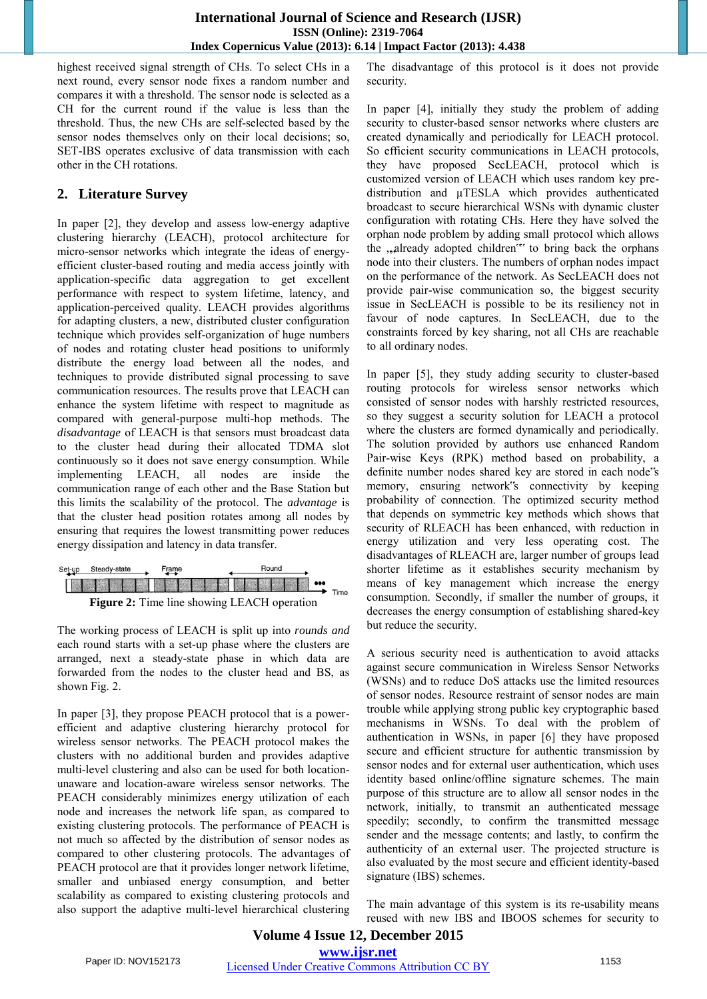highest received signal strength of CHs. To select CHs in a next round, every sensor node fixes a random number and compares it with a threshold. The sensor node is selected as a CH for the current round if the value is less than the threshold. Thus, the new CHs are self-selected based by the sensor nodes themselves only on their local decisions; so, SET-IBS operates exclusive of data transmission with each other in the CH rotations.

## **2. Literature Survey**

In paper [2], they develop and assess low-energy adaptive clustering hierarchy (LEACH), protocol architecture for micro-sensor networks which integrate the ideas of energyefficient cluster-based routing and media access jointly with application-specific data aggregation to get excellent performance with respect to system lifetime, latency, and application-perceived quality. LEACH provides algorithms for adapting clusters, a new, distributed cluster configuration technique which provides self-organization of huge numbers of nodes and rotating cluster head positions to uniformly distribute the energy load between all the nodes, and techniques to provide distributed signal processing to save communication resources. The results prove that LEACH can enhance the system lifetime with respect to magnitude as compared with general-purpose multi-hop methods. The *disadvantage* of LEACH is that sensors must broadcast data to the cluster head during their allocated TDMA slot continuously so it does not save energy consumption. While implementing LEACH, all nodes are inside the communication range of each other and the Base Station but this limits the scalability of the protocol. The *advantage* is that the cluster head position rotates among all nodes by ensuring that requires the lowest transmitting power reduces energy dissipation and latency in data transfer.

| Set-up                                             | Steady-state | Frame | Round                                                                                                         |  |
|----------------------------------------------------|--------------|-------|---------------------------------------------------------------------------------------------------------------|--|
|                                                    |              |       | ET BEIDEN EINER EIN BEREICHEN EIN ERRECHTET ERRECHTET ERRECHTET EIN ERRECHTET EIN ERRECHTET EIN ERRECHTET EIN |  |
| <b>Figure 2:</b> Time line showing LEACH operation |              |       |                                                                                                               |  |

The working process of LEACH is split up into *rounds and* each round starts with a set-up phase where the clusters are arranged, next a steady-state phase in which data are forwarded from the nodes to the cluster head and BS, as shown Fig. 2.

In paper [3], they propose PEACH protocol that is a powerefficient and adaptive clustering hierarchy protocol for wireless sensor networks. The PEACH protocol makes the clusters with no additional burden and provides adaptive multi-level clustering and also can be used for both locationunaware and location-aware wireless sensor networks. The PEACH considerably minimizes energy utilization of each node and increases the network life span, as compared to existing clustering protocols. The performance of PEACH is not much so affected by the distribution of sensor nodes as compared to other clustering protocols. The advantages of PEACH protocol are that it provides longer network lifetime, smaller and unbiased energy consumption, and better scalability as compared to existing clustering protocols and also support the adaptive multi-level hierarchical clustering The disadvantage of this protocol is it does not provide security.

In paper [4], initially they study the problem of adding security to cluster-based sensor networks where clusters are created dynamically and periodically for LEACH protocol. So efficient security communications in LEACH protocols, they have proposed SecLEACH, protocol which is customized version of LEACH which uses random key predistribution and µTESLA which provides authenticated broadcast to secure hierarchical WSNs with dynamic cluster configuration with rotating CHs. Here they have solved the orphan node problem by adding small protocol which allows the "already adopted children" to bring back the orphans node into their clusters. The numbers of orphan nodes impact on the performance of the network. As SecLEACH does not provide pair-wise communication so, the biggest security issue in SecLEACH is possible to be its resiliency not in favour of node captures. In SecLEACH, due to the constraints forced by key sharing, not all CHs are reachable to all ordinary nodes.

In paper [5], they study adding security to cluster-based routing protocols for wireless sensor networks which consisted of sensor nodes with harshly restricted resources, so they suggest a security solution for LEACH a protocol where the clusters are formed dynamically and periodically. The solution provided by authors use enhanced Random Pair-wise Keys (RPK) method based on probability, a definite number nodes shared key are stored in each node"s memory, ensuring network"s connectivity by keeping probability of connection. The optimized security method that depends on symmetric key methods which shows that security of RLEACH has been enhanced, with reduction in energy utilization and very less operating cost. The disadvantages of RLEACH are, larger number of groups lead shorter lifetime as it establishes security mechanism by means of key management which increase the energy consumption. Secondly, if smaller the number of groups, it decreases the energy consumption of establishing shared-key but reduce the security.

A serious security need is authentication to avoid attacks against secure communication in Wireless Sensor Networks (WSNs) and to reduce DoS attacks use the limited resources of sensor nodes. Resource restraint of sensor nodes are main trouble while applying strong public key cryptographic based mechanisms in WSNs. To deal with the problem of authentication in WSNs, in paper [6] they have proposed secure and efficient structure for authentic transmission by sensor nodes and for external user authentication, which uses identity based online/offline signature schemes. The main purpose of this structure are to allow all sensor nodes in the network, initially, to transmit an authenticated message speedily; secondly, to confirm the transmitted message sender and the message contents; and lastly, to confirm the authenticity of an external user. The projected structure is also evaluated by the most secure and efficient identity-based signature (IBS) schemes.

The main advantage of this system is its re-usability means reused with new IBS and IBOOS schemes for security to

### **Volume 4 Issue 12, December 2015**

**www.ijsr.net**